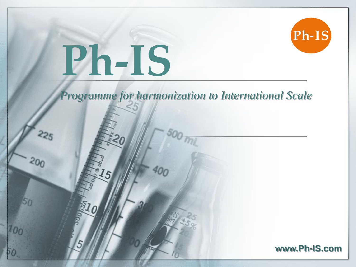# **Ph-IS**

 $\mathfrak{s}$ 

 $225$ 

 $200$ 

50

 $10<sub>0</sub>$ 





Ph-IS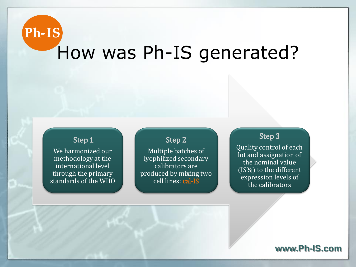### $Ph-IS$ How was Ph-IS generated?

#### Step 1

We harmonized our methodology at the international level through the primary standards of the WHO

#### Step 2

Multiple batches of lyophilized secondary calibrators are produced by mixing two cell lines: cal-IS

#### Step 3

Quality control of each lot and assignation of the nominal value (IS%) to the different expression levels of the calibrators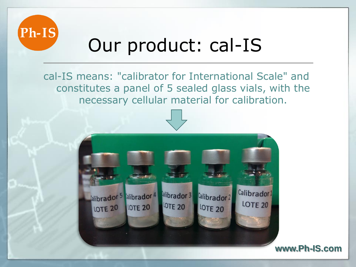

# Our product: cal-IS

cal-IS means: "calibrator for International Scale" and constitutes a panel of 5 sealed glass vials, with the necessary cellular material for calibration.

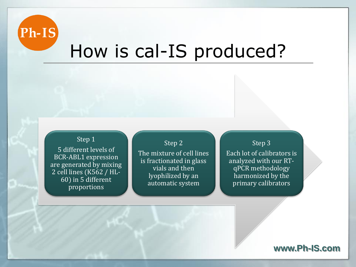

### How is cal-IS produced?

#### Step 1

5 different levels of BCR-ABL1 expression are generated by mixing 2 cell lines (K562 / HL-60) in 5 different proportions

Step 2 The mixture of cell lines is fractionated in glass vials and then lyophilized by an automatic system

Step 3

Each lot of calibrators is analyzed with our RTqPCR methodology harmonized by the primary calibrators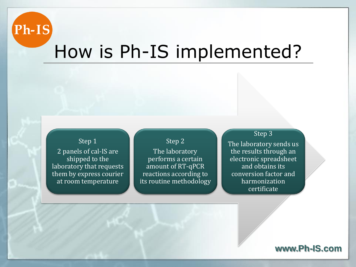

### How is Ph-IS implemented?

#### Step 1

2 panels of cal-IS are shipped to the laboratory that requests them by express courier at room temperature

#### Step 2

The laboratory performs a certain amount of RT-qPCR reactions according to its routine methodology

#### Step 3

The laboratory sends us the results through an electronic spreadsheet and obtains its conversion factor and harmonization certificate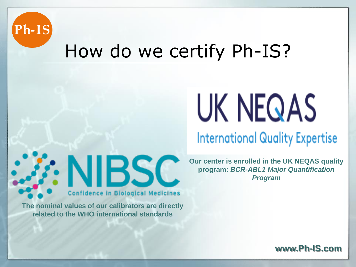

### How do we certify Ph-IS?



### **International Quality Expertise**

**Our center is enrolled in the UK NEQAS quality program:** *BCR-ABL1 Major Quantification Program*

**Confidence in Biological Medicines The nominal values of our calibrators are directly related to the WHO international standards**

**NIBSC**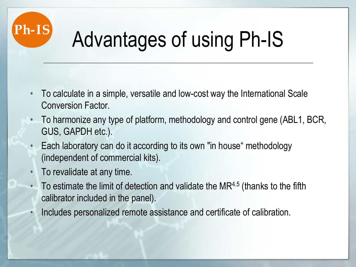

# Advantages of using Ph-IS

- To calculate in a simple, versatile and low-cost way the International Scale Conversion Factor.
- To harmonize any type of platform, methodology and control gene (ABL1, BCR, GUS, GAPDH etc.).
- Each laboratory can do it according to its own "in house" methodology (independent of commercial kits).
- To revalidate at any time.
- To estimate the limit of detection and validate the  $MR<sup>4.5</sup>$  (thanks to the fifth calibrator included in the panel).
- Includes personalized remote assistance and certificate of calibration.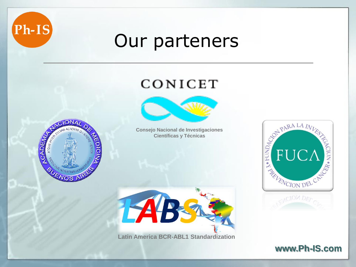

### Our parteners

### CONICET





**Consejo Nacional de Investigaciones Científicas y Técnicas**



**Latin America BCR-ABL1 Standardization**

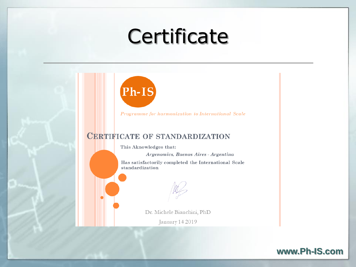# **Certificate**



Programme for harmonization to International Scale

#### **CERTIFICATE OF STANDARDIZATION**

This Aknowledges that:

Argenomics, Buenos Aires - Argentina

Has satisfactorily completed the International Scale standardization

Dr. Michele Bianchini, PhD

January 14 2019